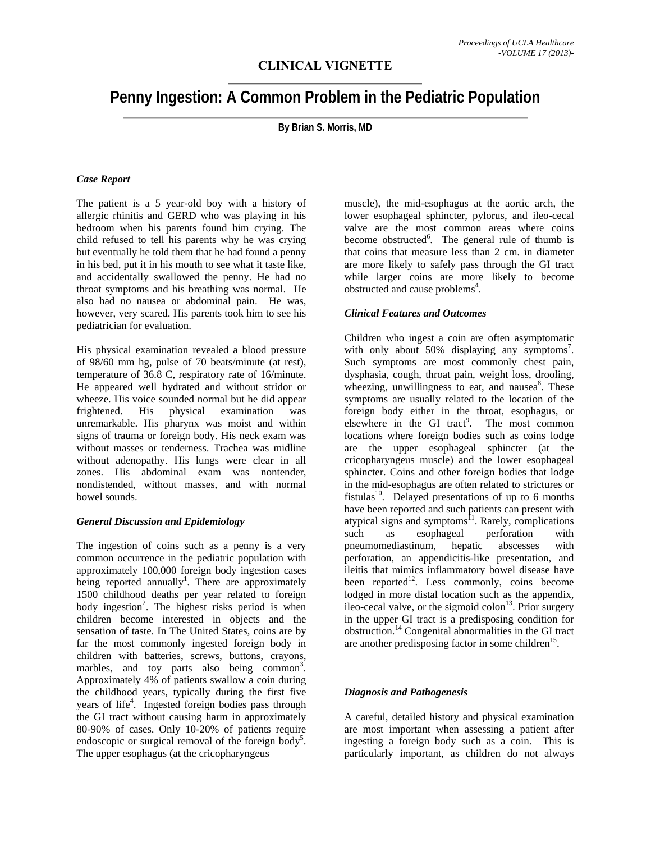# **Penny Ingestion: A Common Problem in the Pediatric Population**

**By Brian S. Morris, MD** 

#### *Case Report*

The patient is a 5 year-old boy with a history of allergic rhinitis and GERD who was playing in his bedroom when his parents found him crying. The child refused to tell his parents why he was crying but eventually he told them that he had found a penny in his bed, put it in his mouth to see what it taste like, and accidentally swallowed the penny. He had no throat symptoms and his breathing was normal. He also had no nausea or abdominal pain. He was, however, very scared. His parents took him to see his pediatrician for evaluation.

His physical examination revealed a blood pressure of 98/60 mm hg, pulse of 70 beats/minute (at rest), temperature of 36.8 C, respiratory rate of 16/minute. He appeared well hydrated and without stridor or wheeze. His voice sounded normal but he did appear frightened. His physical examination was unremarkable. His pharynx was moist and within signs of trauma or foreign body. His neck exam was without masses or tenderness. Trachea was midline without adenopathy. His lungs were clear in all zones. His abdominal exam was nontender, nondistended, without masses, and with normal bowel sounds.

#### *General Discussion and Epidemiology*

The ingestion of coins such as a penny is a very common occurrence in the pediatric population with approximately 100,000 foreign body ingestion cases being reported annually<sup>1</sup>. There are approximately 1500 childhood deaths per year related to foreign body ingestion<sup>2</sup>. The highest risks period is when children become interested in objects and the sensation of taste. In The United States, coins are by far the most commonly ingested foreign body in children with batteries, screws, buttons, crayons, marbles, and toy parts also being common<sup>3</sup>. Approximately 4% of patients swallow a coin during the childhood years, typically during the first five years of life<sup>4</sup>. Ingested foreign bodies pass through the GI tract without causing harm in approximately 80-90% of cases. Only 10-20% of patients require endoscopic or surgical removal of the foreign body<sup>5</sup>. The upper esophagus (at the cricopharyngeus

muscle), the mid-esophagus at the aortic arch, the lower esophageal sphincter, pylorus, and ileo-cecal valve are the most common areas where coins become obstructed<sup>6</sup>. The general rule of thumb is that coins that measure less than 2 cm. in diameter are more likely to safely pass through the GI tract while larger coins are more likely to become obstructed and cause problems<sup>4</sup>.

### *Clinical Features and Outcomes*

Children who ingest a coin are often asymptomatic with only about 50% displaying any symptoms<sup>7</sup>. Such symptoms are most commonly chest pain, dysphasia, cough, throat pain, weight loss, drooling, wheezing, unwillingness to eat, and nausea<sup>8</sup>. These symptoms are usually related to the location of the foreign body either in the throat, esophagus, or elsewhere in the GI tract<sup>9</sup>. . The most common locations where foreign bodies such as coins lodge are the upper esophageal sphincter (at the cricopharyngeus muscle) and the lower esophageal sphincter. Coins and other foreign bodies that lodge in the mid-esophagus are often related to strictures or fistulas<sup>10</sup>. Delayed presentations of up to 6 months have been reported and such patients can present with atypical signs and symptoms<sup>11</sup>. Rarely, complications such as esophageal perforation with pneumomediastinum, hepatic abscesses with perforation, an appendicitis-like presentation, and ileitis that mimics inflammatory bowel disease have been reported<sup>12</sup>. Less commonly, coins become lodged in more distal location such as the appendix, ileo-cecal valve, or the sigmoid colon<sup>13</sup>. Prior surgery in the upper GI tract is a predisposing condition for obstruction.14 Congenital abnormalities in the GI tract are another predisposing factor in some children<sup>15</sup>.

#### *Diagnosis and Pathogenesis*

A careful, detailed history and physical examination are most important when assessing a patient after ingesting a foreign body such as a coin. This is particularly important, as children do not always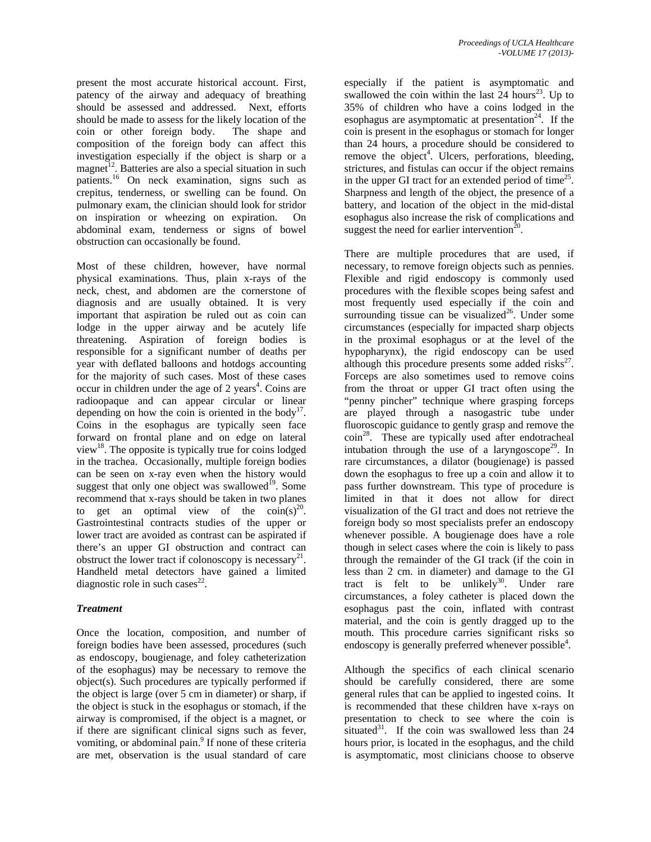present the most accurate historical account. First, patency of the airway and adequacy of breathing should be assessed and addressed. Next, efforts should be made to assess for the likely location of the coin or other foreign body. The shape and composition of the foreign body can affect this investigation especially if the object is sharp or a magnet<sup>12</sup>. Batteries are also a special situation in such patients.16 On neck examination, signs such as crepitus, tenderness, or swelling can be found. On pulmonary exam, the clinician should look for stridor on inspiration or wheezing on expiration. On abdominal exam, tenderness or signs of bowel obstruction can occasionally be found.

Most of these children, however, have normal physical examinations. Thus, plain x-rays of the neck, chest, and abdomen are the cornerstone of diagnosis and are usually obtained. It is very important that aspiration be ruled out as coin can lodge in the upper airway and be acutely life threatening. Aspiration of foreign bodies is responsible for a significant number of deaths per year with deflated balloons and hotdogs accounting for the majority of such cases. Most of these cases occur in children under the age of  $2$  years<sup>4</sup>. Coins are radioopaque and can appear circular or linear depending on how the coin is oriented in the body<sup>17</sup>. Coins in the esophagus are typically seen face forward on frontal plane and on edge on lateral view<sup>18</sup>. The opposite is typically true for coins lodged in the trachea. Occasionally, multiple foreign bodies can be seen on x-ray even when the history would suggest that only one object was swallowed<sup>19</sup>. Some recommend that x-rays should be taken in two planes to get an optimal view of the  $\text{coin}(s)^{20}$ . Gastrointestinal contracts studies of the upper or lower tract are avoided as contrast can be aspirated if there's an upper GI obstruction and contract can obstruct the lower tract if colonoscopy is necessary<sup>21</sup>. Handheld metal detectors have gained a limited diagnostic role in such cases $^{22}$ .

## *Treatment*

Once the location, composition, and number of foreign bodies have been assessed, procedures (such as endoscopy, bougienage, and foley catheterization of the esophagus) may be necessary to remove the object(s). Such procedures are typically performed if the object is large (over 5 cm in diameter) or sharp, if the object is stuck in the esophagus or stomach, if the airway is compromised, if the object is a magnet, or if there are significant clinical signs such as fever, vomiting, or abdominal pain.<sup>9</sup> If none of these criteria are met, observation is the usual standard of care

especially if the patient is asymptomatic and swallowed the coin within the last  $24$  hours<sup>23</sup>. Up to 35% of children who have a coins lodged in the esophagus are asymptomatic at presentation<sup>24</sup>. If the coin is present in the esophagus or stomach for longer than 24 hours, a procedure should be considered to remove the object<sup>4</sup>. Ulcers, perforations, bleeding, strictures, and fistulas can occur if the object remains in the upper GI tract for an extended period of time<sup>25</sup>. Sharpness and length of the object, the presence of a battery, and location of the object in the mid-distal esophagus also increase the risk of complications and suggest the need for earlier intervention<sup>20</sup>.

There are multiple procedures that are used, if necessary, to remove foreign objects such as pennies. Flexible and rigid endoscopy is commonly used procedures with the flexible scopes being safest and most frequently used especially if the coin and surrounding tissue can be visualized $^{26}$ . Under some circumstances (especially for impacted sharp objects in the proximal esophagus or at the level of the hypopharynx), the rigid endoscopy can be used although this procedure presents some added risks $^{27}$ . Forceps are also sometimes used to remove coins from the throat or upper GI tract often using the "penny pincher" technique where grasping forceps are played through a nasogastric tube under fluoroscopic guidance to gently grasp and remove the  $\text{coin}^{28}$ . These are typically used after endotracheal intubation through the use of a laryngoscope<sup>29</sup>. In rare circumstances, a dilator (bougienage) is passed down the esophagus to free up a coin and allow it to pass further downstream. This type of procedure is limited in that it does not allow for direct visualization of the GI tract and does not retrieve the foreign body so most specialists prefer an endoscopy whenever possible. A bougienage does have a role though in select cases where the coin is likely to pass through the remainder of the GI track (if the coin in less than 2 cm. in diameter) and damage to the GI tract is felt to be unlikely<sup>30</sup>. Under rare circumstances, a foley catheter is placed down the esophagus past the coin, inflated with contrast material, and the coin is gently dragged up to the mouth. This procedure carries significant risks so endoscopy is generally preferred whenever possible<sup>4</sup>.

Although the specifics of each clinical scenario should be carefully considered, there are some general rules that can be applied to ingested coins. It is recommended that these children have x-rays on presentation to check to see where the coin is situated $31$ . If the coin was swallowed less than 24 hours prior, is located in the esophagus, and the child is asymptomatic, most clinicians choose to observe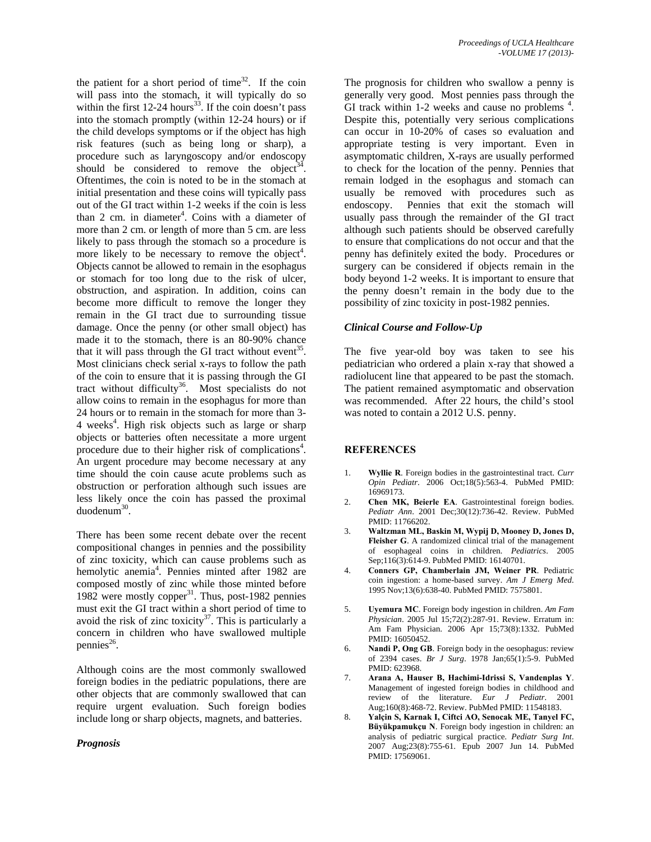the patient for a short period of time<sup>32</sup>. If the coin will pass into the stomach, it will typically do so within the first  $12-24$  hours<sup>33</sup>. If the coin doesn't pass into the stomach promptly (within 12-24 hours) or if the child develops symptoms or if the object has high risk features (such as being long or sharp), a procedure such as laryngoscopy and/or endoscopy should be considered to remove the object<sup>34</sup>. Oftentimes, the coin is noted to be in the stomach at initial presentation and these coins will typically pass out of the GI tract within 1-2 weeks if the coin is less than 2 cm. in diameter<sup>4</sup>. Coins with a diameter of more than 2 cm. or length of more than 5 cm. are less likely to pass through the stomach so a procedure is more likely to be necessary to remove the object<sup>4</sup>. Objects cannot be allowed to remain in the esophagus or stomach for too long due to the risk of ulcer, obstruction, and aspiration. In addition, coins can become more difficult to remove the longer they remain in the GI tract due to surrounding tissue damage. Once the penny (or other small object) has made it to the stomach, there is an 80-90% chance that it will pass through the GI tract without event<sup>35</sup>. Most clinicians check serial x-rays to follow the path of the coin to ensure that it is passing through the GI tract without difficulty<sup>36</sup>. Most specialists do not allow coins to remain in the esophagus for more than 24 hours or to remain in the stomach for more than 3- 4 weeks<sup>4</sup>. High risk objects such as large or sharp objects or batteries often necessitate a more urgent procedure due to their higher risk of complications<sup>4</sup>. An urgent procedure may become necessary at any time should the coin cause acute problems such as obstruction or perforation although such issues are less likely once the coin has passed the proximal duodenum30.

There has been some recent debate over the recent compositional changes in pennies and the possibility of zinc toxicity, which can cause problems such as hemolytic anemia<sup>4</sup>. Pennies minted after 1982 are composed mostly of zinc while those minted before 1982 were mostly copper $^{31}$ . Thus, post-1982 pennies must exit the GI tract within a short period of time to avoid the risk of zinc toxicity $3^7$ . This is particularly a concern in children who have swallowed multiple pennies $^{26}$ .

Although coins are the most commonly swallowed foreign bodies in the pediatric populations, there are other objects that are commonly swallowed that can require urgent evaluation. Such foreign bodies include long or sharp objects, magnets, and batteries.

*Prognosis* 

The prognosis for children who swallow a penny is generally very good. Most pennies pass through the GI track within 1-2 weeks and cause no problems<sup>4</sup>. Despite this, potentially very serious complications can occur in 10-20% of cases so evaluation and appropriate testing is very important. Even in asymptomatic children, X-rays are usually performed to check for the location of the penny. Pennies that remain lodged in the esophagus and stomach can usually be removed with procedures such as endoscopy. Pennies that exit the stomach will usually pass through the remainder of the GI tract although such patients should be observed carefully to ensure that complications do not occur and that the penny has definitely exited the body. Procedures or surgery can be considered if objects remain in the body beyond 1-2 weeks. It is important to ensure that the penny doesn't remain in the body due to the possibility of zinc toxicity in post-1982 pennies.

#### *Clinical Course and Follow-Up*

The five year-old boy was taken to see his pediatrician who ordered a plain x-ray that showed a radiolucent line that appeared to be past the stomach. The patient remained asymptomatic and observation was recommended. After 22 hours, the child's stool was noted to contain a 2012 U.S. penny.

#### **REFERENCES**

- 1. **Wyllie R**. Foreign bodies in the gastrointestinal tract. *Curr Opin Pediatr*. 2006 Oct;18(5):563-4. PubMed PMID: 16969173.
- 2. **Chen MK, Beierle EA**. Gastrointestinal foreign bodies. *Pediatr Ann*. 2001 Dec;30(12):736-42. Review. PubMed PMID: 11766202.
- 3. **Waltzman ML, Baskin M, Wypij D, Mooney D, Jones D, Fleisher G**. A randomized clinical trial of the management of esophageal coins in children. *Pediatrics*. 2005 Sep;116(3):614-9. PubMed PMID: 16140701.
- 4. **Conners GP, Chamberlain JM, Weiner PR**. Pediatric coin ingestion: a home-based survey. *Am J Emerg Med*. 1995 Nov;13(6):638-40. PubMed PMID: 7575801.
- 5. **Uyemura MC**. Foreign body ingestion in children. *Am Fam Physician*. 2005 Jul 15;72(2):287-91. Review. Erratum in: Am Fam Physician. 2006 Apr 15;73(8):1332. PubMed PMID: 16050452.
- 6. **Nandi P, Ong GB**. Foreign body in the oesophagus: review of 2394 cases. *Br J Surg*. 1978 Jan;65(1):5-9. PubMed PMID: 623968.
- 7. **Arana A, Hauser B, Hachimi-Idrissi S, Vandenplas Y**. Management of ingested foreign bodies in childhood and review of the literature. *Eur J Pediatr*. 2001 Aug;160(8):468-72. Review. PubMed PMID: 11548183.
- 8. **Yalçin S, Karnak I, Ciftci AO, Senocak ME, Tanyel FC, Büyükpamukçu N**. Foreign body ingestion in children: an analysis of pediatric surgical practice. *Pediatr Surg Int*. 2007 Aug;23(8):755-61. Epub 2007 Jun 14. PubMed PMID: 17569061.